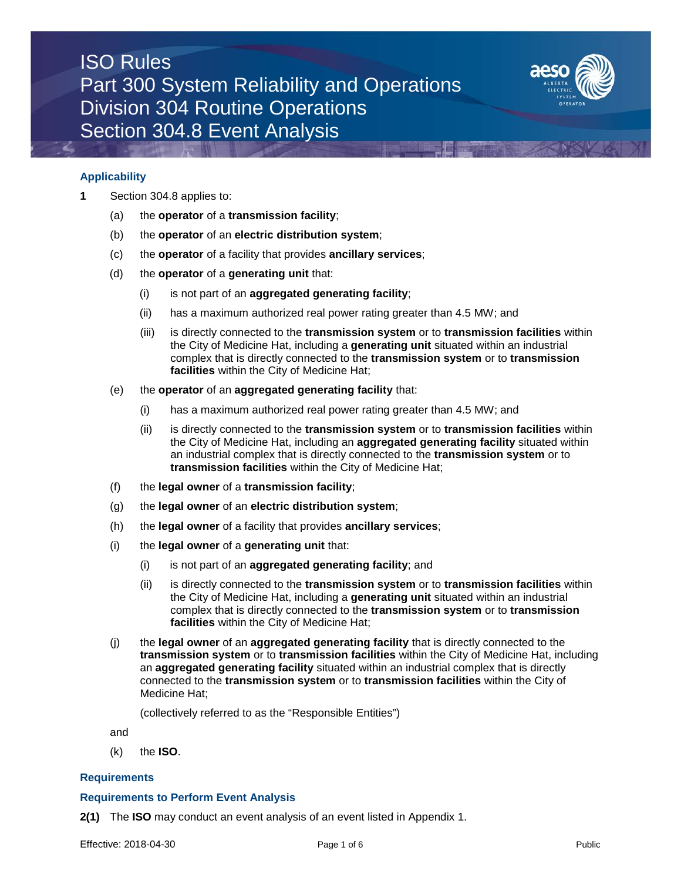# ISO Rules Part 300 System Reliability and Operations Division 304 Routine Operations Section 304.8 Event Analysis



## **Applicability**

- **1** Section 304.8 applies to:
	- (a) the **operator** of a **transmission facility**;
	- (b) the **operator** of an **electric distribution system**;
	- (c) the **operator** of a facility that provides **ancillary services**;
	- (d) the **operator** of a **generating unit** that:
		- (i) is not part of an **aggregated generating facility**;
		- (ii) has a maximum authorized real power rating greater than 4.5 MW; and
		- (iii) is directly connected to the **transmission system** or to **transmission facilities** within the City of Medicine Hat, including a **generating unit** situated within an industrial complex that is directly connected to the **transmission system** or to **transmission facilities** within the City of Medicine Hat;
	- (e) the **operator** of an **aggregated generating facility** that:
		- (i) has a maximum authorized real power rating greater than 4.5 MW; and
		- (ii) is directly connected to the **transmission system** or to **transmission facilities** within the City of Medicine Hat, including an **aggregated generating facility** situated within an industrial complex that is directly connected to the **transmission system** or to **transmission facilities** within the City of Medicine Hat;
	- (f) the **legal owner** of a **transmission facility**;
	- (g) the **legal owner** of an **electric distribution system**;
	- (h) the **legal owner** of a facility that provides **ancillary services**;
	- (i) the **legal owner** of a **generating unit** that:
		- (i) is not part of an **aggregated generating facility**; and
		- (ii) is directly connected to the **transmission system** or to **transmission facilities** within the City of Medicine Hat, including a **generating unit** situated within an industrial complex that is directly connected to the **transmission system** or to **transmission facilities** within the City of Medicine Hat;
	- (j) the **legal owner** of an **aggregated generating facility** that is directly connected to the **transmission system** or to **transmission facilities** within the City of Medicine Hat, including an **aggregated generating facility** situated within an industrial complex that is directly connected to the **transmission system** or to **transmission facilities** within the City of Medicine Hat;

(collectively referred to as the "Responsible Entities")

- and
- (k) the **ISO**.

### **Requirements**

#### **Requirements to Perform Event Analysis**

**2(1)** The **ISO** may conduct an event analysis of an event listed in Appendix 1.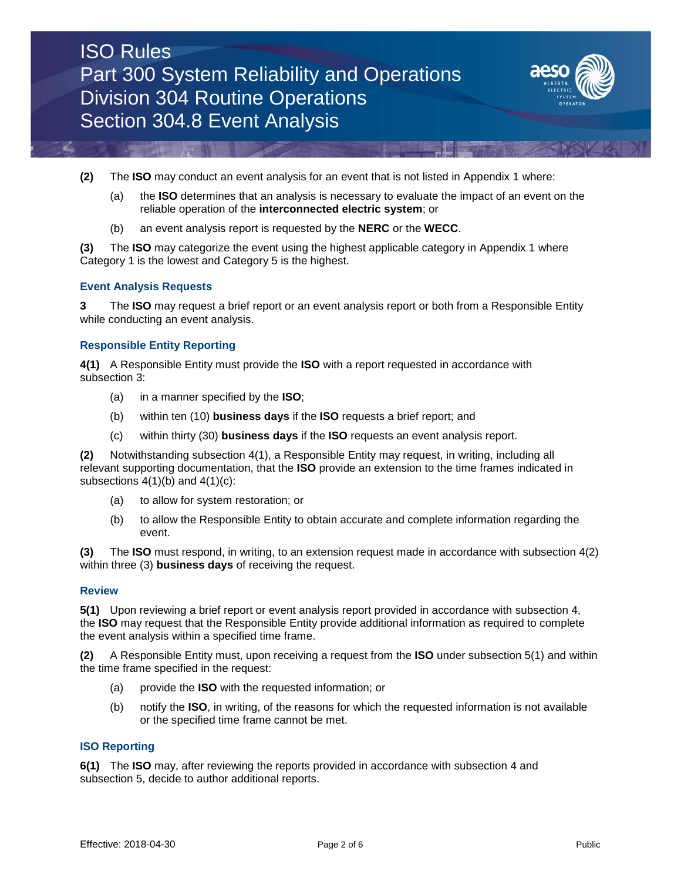

- **(2)** The **ISO** may conduct an event analysis for an event that is not listed in Appendix 1 where:
	- (a) the **ISO** determines that an analysis is necessary to evaluate the impact of an event on the reliable operation of the **interconnected electric system**; or
	- (b) an event analysis report is requested by the **NERC** or the **WECC**.

**(3)** The **ISO** may categorize the event using the highest applicable category in Appendix 1 where Category 1 is the lowest and Category 5 is the highest.

### **Event Analysis Requests**

**3** The **ISO** may request a brief report or an event analysis report or both from a Responsible Entity while conducting an event analysis.

#### **Responsible Entity Reporting**

**4(1)** A Responsible Entity must provide the **ISO** with a report requested in accordance with subsection 3:

- (a) in a manner specified by the **ISO**;
- (b) within ten (10) **business days** if the **ISO** requests a brief report; and
- (c) within thirty (30) **business days** if the **ISO** requests an event analysis report.

**(2)** Notwithstanding subsection 4(1), a Responsible Entity may request, in writing, including all relevant supporting documentation, that the **ISO** provide an extension to the time frames indicated in subsections  $4(1)(b)$  and  $4(1)(c)$ :

- (a) to allow for system restoration; or
- (b) to allow the Responsible Entity to obtain accurate and complete information regarding the event.

**(3)** The **ISO** must respond, in writing, to an extension request made in accordance with subsection 4(2) within three (3) **business days** of receiving the request.

#### **Review**

**5(1)** Upon reviewing a brief report or event analysis report provided in accordance with subsection 4, the **ISO** may request that the Responsible Entity provide additional information as required to complete the event analysis within a specified time frame.

**(2)** A Responsible Entity must, upon receiving a request from the **ISO** under subsection 5(1) and within the time frame specified in the request:

- (a) provide the **ISO** with the requested information; or
- (b) notify the **ISO**, in writing, of the reasons for which the requested information is not available or the specified time frame cannot be met.

## **ISO Reporting**

**6(1)** The **ISO** may, after reviewing the reports provided in accordance with subsection 4 and subsection 5, decide to author additional reports.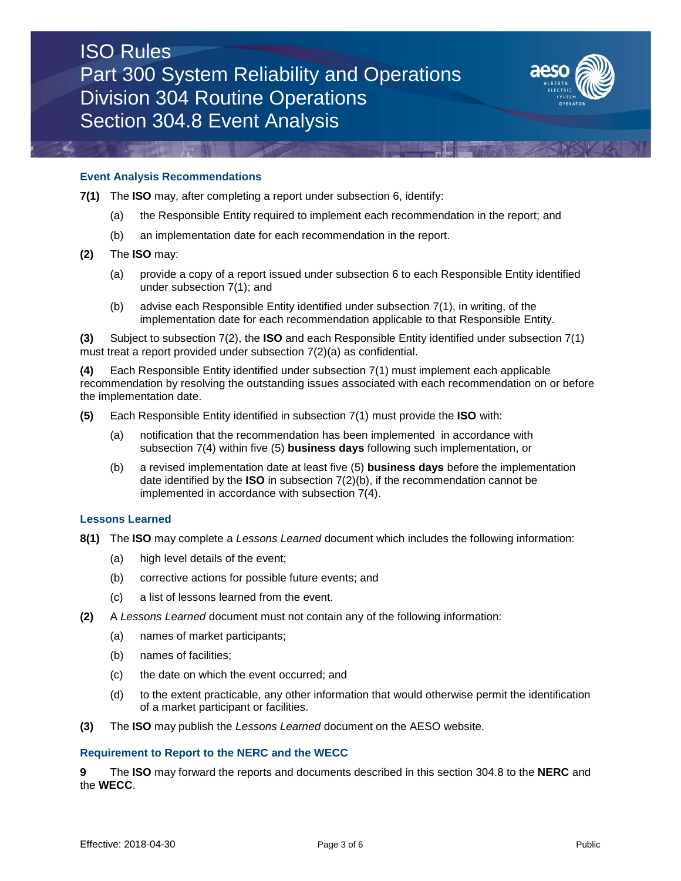

## **Event Analysis Recommendations**

- **7(1)** The **ISO** may, after completing a report under subsection 6, identify:
	- (a) the Responsible Entity required to implement each recommendation in the report; and
	- (b) an implementation date for each recommendation in the report.
- **(2)** The **ISO** may:
	- (a) provide a copy of a report issued under subsection 6 to each Responsible Entity identified under subsection 7(1); and
	- (b) advise each Responsible Entity identified under subsection 7(1), in writing, of the implementation date for each recommendation applicable to that Responsible Entity.

**(3)** Subject to subsection 7(2), the **ISO** and each Responsible Entity identified under subsection 7(1) must treat a report provided under subsection 7(2)(a) as confidential.

**(4)** Each Responsible Entity identified under subsection 7(1) must implement each applicable recommendation by resolving the outstanding issues associated with each recommendation on or before the implementation date.

- **(5)** Each Responsible Entity identified in subsection 7(1) must provide the **ISO** with:
	- (a) notification that the recommendation has been implemented in accordance with subsection 7(4) within five (5) **business days** following such implementation, or
	- (b) a revised implementation date at least five (5) **business days** before the implementation date identified by the **ISO** in subsection 7(2)(b), if the recommendation cannot be implemented in accordance with subsection 7(4).

#### **Lessons Learned**

- **8(1)** The **ISO** may complete a *Lessons Learned* document which includes the following information:
	- (a) high level details of the event;
	- (b) corrective actions for possible future events; and
	- (c) a list of lessons learned from the event.
- **(2)** A *Lessons Learned* document must not contain any of the following information:
	- (a) names of market participants;
	- (b) names of facilities;
	- (c) the date on which the event occurred; and
	- (d) to the extent practicable, any other information that would otherwise permit the identification of a market participant or facilities.
- **(3)** The **ISO** may publish the *Lessons Learned* document on the AESO website.

#### **Requirement to Report to the NERC and the WECC**

**9** The **ISO** may forward the reports and documents described in this section 304.8 to the **NERC** and the **WECC**.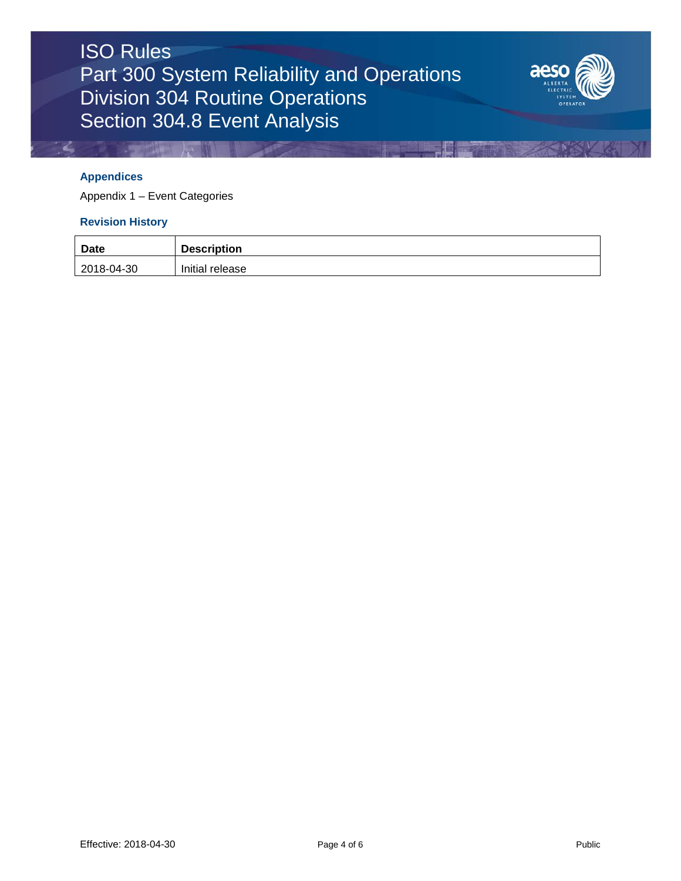

## **Appendices**

Appendix 1 – Event Categories

# **Revision History**

| <b>Date</b> | <b>Description</b> |
|-------------|--------------------|
| 2018-04-30  | Initial release    |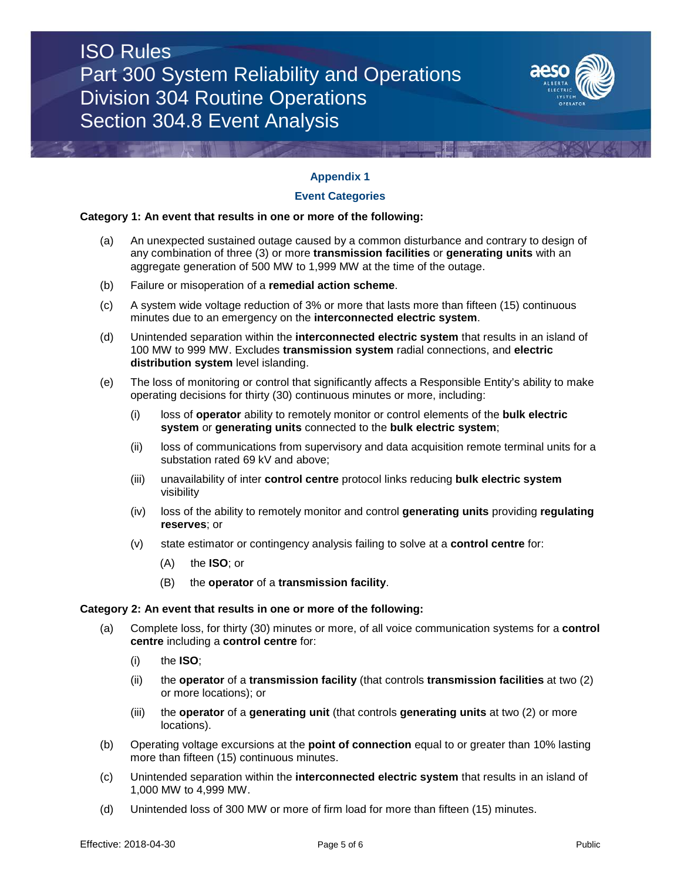# ISO Rules Part 300 System Reliability and Operations Division 304 Routine Operations Section 304.8 Event Analysis



# **Appendix 1**

## **Event Categories**

## **Category 1: An event that results in one or more of the following:**

- (a) An unexpected sustained outage caused by a common disturbance and contrary to design of any combination of three (3) or more **transmission facilities** or **generating units** with an aggregate generation of 500 MW to 1,999 MW at the time of the outage.
- (b) Failure or misoperation of a **remedial action scheme**.
- (c) A system wide voltage reduction of 3% or more that lasts more than fifteen (15) continuous minutes due to an emergency on the **interconnected electric system**.
- (d) Unintended separation within the **interconnected electric system** that results in an island of 100 MW to 999 MW. Excludes **transmission system** radial connections, and **electric distribution system** level islanding.
- (e) The loss of monitoring or control that significantly affects a Responsible Entity's ability to make operating decisions for thirty (30) continuous minutes or more, including:
	- (i) loss of **operator** ability to remotely monitor or control elements of the **bulk electric system** or **generating units** connected to the **bulk electric system**;
	- (ii) loss of communications from supervisory and data acquisition remote terminal units for a substation rated 69 kV and above;
	- (iii) unavailability of inter **control centre** protocol links reducing **bulk electric system** visibility
	- (iv) loss of the ability to remotely monitor and control **generating units** providing **regulating reserves**; or
	- (v) state estimator or contingency analysis failing to solve at a **control centre** for:
		- (A) the **ISO**; or
		- (B) the **operator** of a **transmission facility**.

### **Category 2: An event that results in one or more of the following:**

- (a) Complete loss, for thirty (30) minutes or more, of all voice communication systems for a **control centre** including a **control centre** for:
	- (i) the **ISO**;
	- (ii) the **operator** of a **transmission facility** (that controls **transmission facilities** at two (2) or more locations); or
	- (iii) the **operator** of a **generating unit** (that controls **generating units** at two (2) or more locations).
- (b) Operating voltage excursions at the **point of connection** equal to or greater than 10% lasting more than fifteen (15) continuous minutes.
- (c) Unintended separation within the **interconnected electric system** that results in an island of 1,000 MW to 4,999 MW.
- (d) Unintended loss of 300 MW or more of firm load for more than fifteen (15) minutes.